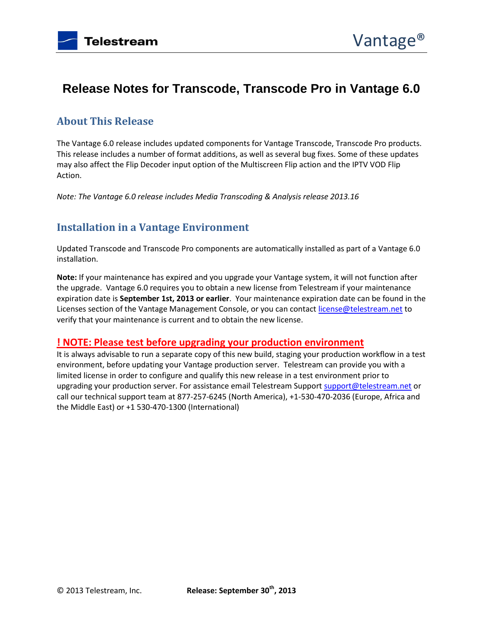# **Release Notes for Transcode, Transcode Pro in Vantage 6.0**

# **About This Release**

The Vantage 6.0 release includes updated components for Vantage Transcode, Transcode Pro products. This release includes a number of format additions, as well as several bug fixes. Some of these updates may also affect the Flip Decoder input option of the Multiscreen Flip action and the IPTV VOD Flip Action.

*Note: The Vantage 6.0 release includes Media Transcoding & Analysis release 2013.16*

### **Installation in a Vantage Environment**

Updated Transcode and Transcode Pro components are automatically installed as part of a Vantage 6.0 installation.

**Note:** If your maintenance has expired and you upgrade your Vantage system, it will not function after the upgrade. Vantage 6.0 requires you to obtain a new license from Telestream if your maintenance expiration date is **September 1st, 2013 or earlier**. Your maintenance expiration date can be found in the Licenses section of the Vantage Management Console, or you can contac[t license@telestream.net](mailto:license@telestream.net) to verify that your maintenance is current and to obtain the new license.

### **! NOTE: Please test before upgrading your production environment**

It is always advisable to run a separate copy of this new build, staging your production workflow in a test environment, before updating your Vantage production server. Telestream can provide you with a limited license in order to configure and qualify this new release in a test environment prior to upgrading your production server. For assistance email Telestream Suppor[t support@telestream.net](mailto:support@telestream.net) or call our technical support team at 877-257-6245 (North America), +1-530-470-2036 (Europe, Africa and the Middle East) or +1 530-470-1300 (International)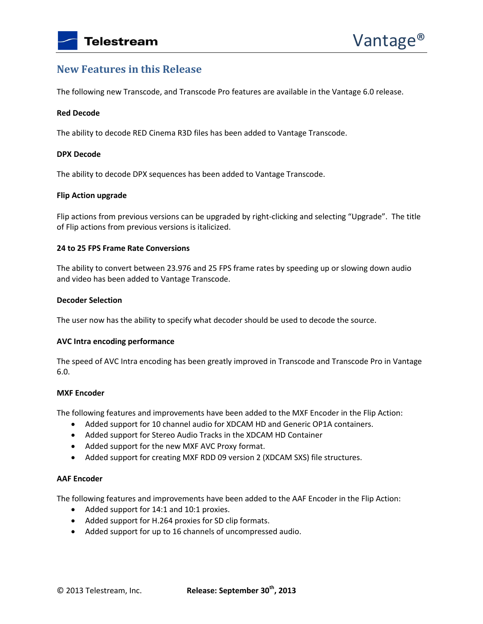### **New Features in this Release**

The following new Transcode, and Transcode Pro features are available in the Vantage 6.0 release.

### **Red Decode**

The ability to decode RED Cinema R3D files has been added to Vantage Transcode.

### **DPX Decode**

The ability to decode DPX sequences has been added to Vantage Transcode.

### **Flip Action upgrade**

Flip actions from previous versions can be upgraded by right-clicking and selecting "Upgrade". The title of Flip actions from previous versions is italicized.

### **24 to 25 FPS Frame Rate Conversions**

The ability to convert between 23.976 and 25 FPS frame rates by speeding up or slowing down audio and video has been added to Vantage Transcode.

#### **Decoder Selection**

The user now has the ability to specify what decoder should be used to decode the source.

### **AVC Intra encoding performance**

The speed of AVC Intra encoding has been greatly improved in Transcode and Transcode Pro in Vantage 6.0.

### **MXF Encoder**

The following features and improvements have been added to the MXF Encoder in the Flip Action:

- Added support for 10 channel audio for XDCAM HD and Generic OP1A containers.
- Added support for Stereo Audio Tracks in the XDCAM HD Container
- Added support for the new MXF AVC Proxy format.
- Added support for creating MXF RDD 09 version 2 (XDCAM SXS) file structures.

### **AAF Encoder**

The following features and improvements have been added to the AAF Encoder in the Flip Action:

- Added support for 14:1 and 10:1 proxies.
- Added support for H.264 proxies for SD clip formats.
- Added support for up to 16 channels of uncompressed audio.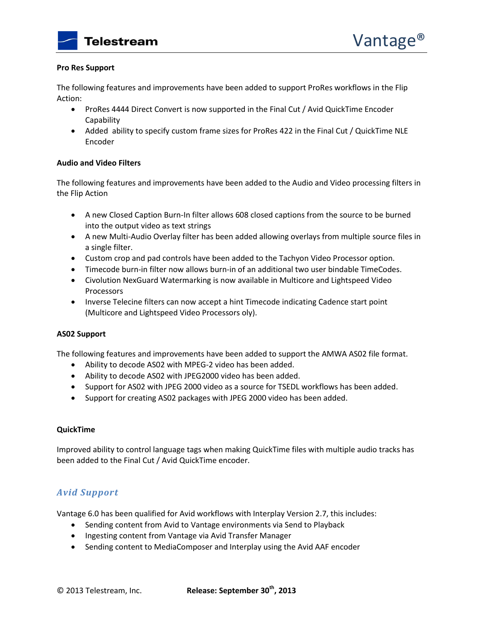### **Pro Res Support**

The following features and improvements have been added to support ProRes workflows in the Flip Action:

- ProRes 4444 Direct Convert is now supported in the Final Cut / Avid QuickTime Encoder **Capability**
- Added ability to specify custom frame sizes for ProRes 422 in the Final Cut / QuickTime NLE Encoder

### **Audio and Video Filters**

The following features and improvements have been added to the Audio and Video processing filters in the Flip Action

- A new Closed Caption Burn-In filter allows 608 closed captions from the source to be burned into the output video as text strings
- A new Multi-Audio Overlay filter has been added allowing overlays from multiple source files in a single filter.
- Custom crop and pad controls have been added to the Tachyon Video Processor option.
- Timecode burn-in filter now allows burn-in of an additional two user bindable TimeCodes.
- Civolution NexGuard Watermarking is now available in Multicore and Lightspeed Video Processors
- Inverse Telecine filters can now accept a hint Timecode indicating Cadence start point (Multicore and Lightspeed Video Processors oly).

### **AS02 Support**

The following features and improvements have been added to support the AMWA AS02 file format.

- Ability to decode AS02 with MPEG-2 video has been added.
- Ability to decode AS02 with JPEG2000 video has been added.
- Support for AS02 with JPEG 2000 video as a source for TSEDL workflows has been added.
- Support for creating AS02 packages with JPEG 2000 video has been added.

### **QuickTime**

Improved ability to control language tags when making QuickTime files with multiple audio tracks has been added to the Final Cut / Avid QuickTime encoder.

### *Avid Support*

Vantage 6.0 has been qualified for Avid workflows with Interplay Version 2.7, this includes:

- Sending content from Avid to Vantage environments via Send to Playback
- Ingesting content from Vantage via Avid Transfer Manager
- Sending content to MediaComposer and Interplay using the Avid AAF encoder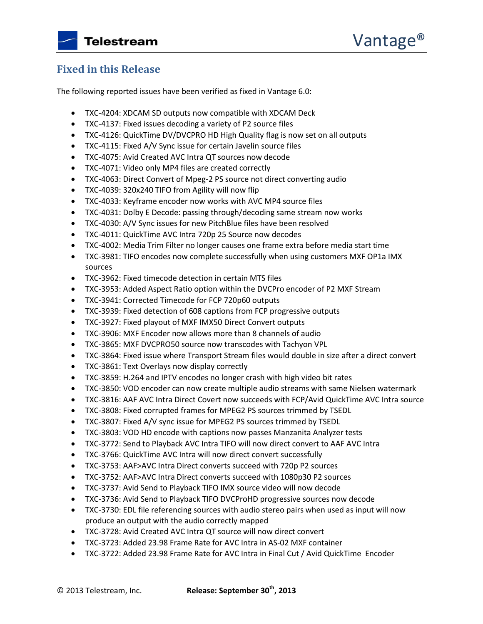### **Fixed in this Release**

The following reported issues have been verified as fixed in Vantage 6.0:

- TXC-4204: XDCAM SD outputs now compatible with XDCAM Deck
- TXC-4137: Fixed issues decoding a variety of P2 source files
- TXC-4126: QuickTime DV/DVCPRO HD High Quality flag is now set on all outputs
- TXC-4115: Fixed A/V Sync issue for certain Javelin source files
- TXC-4075: Avid Created AVC Intra QT sources now decode
- TXC-4071: Video only MP4 files are created correctly
- TXC-4063: Direct Convert of Mpeg-2 PS source not direct converting audio
- TXC-4039: 320x240 TIFO from Agility will now flip
- TXC-4033: Keyframe encoder now works with AVC MP4 source files
- TXC-4031: Dolby E Decode: passing through/decoding same stream now works
- TXC-4030: A/V Sync issues for new PitchBlue files have been resolved
- TXC-4011: QuickTime AVC Intra 720p 25 Source now decodes
- TXC-4002: Media Trim Filter no longer causes one frame extra before media start time
- TXC-3981: TIFO encodes now complete successfully when using customers MXF OP1a IMX sources
- TXC-3962: Fixed timecode detection in certain MTS files
- TXC-3953: Added Aspect Ratio option within the DVCPro encoder of P2 MXF Stream
- TXC-3941: Corrected Timecode for FCP 720p60 outputs
- TXC-3939: Fixed detection of 608 captions from FCP progressive outputs
- TXC-3927: Fixed playout of MXF IMX50 Direct Convert outputs
- TXC-3906: MXF Encoder now allows more than 8 channels of audio
- TXC-3865: MXF DVCPRO50 source now transcodes with Tachyon VPL
- TXC-3864: Fixed issue where Transport Stream files would double in size after a direct convert
- TXC-3861: Text Overlays now display correctly
- TXC-3859: H.264 and IPTV encodes no longer crash with high video bit rates
- TXC-3850: VOD encoder can now create multiple audio streams with same Nielsen watermark
- TXC-3816: AAF AVC Intra Direct Covert now succeeds with FCP/Avid QuickTime AVC Intra source
- TXC-3808: Fixed corrupted frames for MPEG2 PS sources trimmed by TSEDL
- TXC-3807: Fixed A/V sync issue for MPEG2 PS sources trimmed by TSEDL
- TXC-3803: VOD HD encode with captions now passes Manzanita Analyzer tests
- TXC-3772: Send to Playback AVC Intra TIFO will now direct convert to AAF AVC Intra
- TXC-3766: QuickTime AVC Intra will now direct convert successfully
- TXC-3753: AAF>AVC Intra Direct converts succeed with 720p P2 sources
- TXC-3752: AAF>AVC Intra Direct converts succeed with 1080p30 P2 sources
- TXC-3737: Avid Send to Playback TIFO IMX source video will now decode
- TXC-3736: Avid Send to Playback TIFO DVCProHD progressive sources now decode
- TXC-3730: EDL file referencing sources with audio stereo pairs when used as input will now produce an output with the audio correctly mapped
- TXC-3728: Avid Created AVC Intra QT source will now direct convert
- TXC-3723: Added 23.98 Frame Rate for AVC Intra in AS-02 MXF container
- TXC-3722: Added 23.98 Frame Rate for AVC Intra in Final Cut / Avid QuickTime Encoder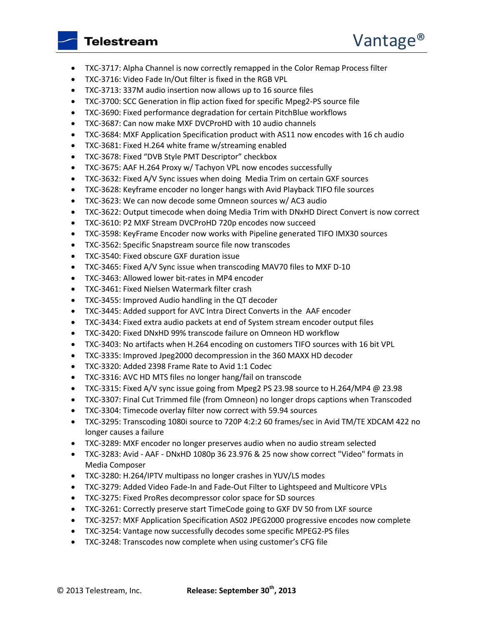- TXC-3717: Alpha Channel is now correctly remapped in the Color Remap Process filter
- TXC-3716: Video Fade In/Out filter is fixed in the RGB VPL
- TXC-3713: 337M audio insertion now allows up to 16 source files
- TXC-3700: SCC Generation in flip action fixed for specific Mpeg2-PS source file
- TXC-3690: Fixed performance degradation for certain PitchBlue workflows
- TXC-3687: Can now make MXF DVCProHD with 10 audio channels
- TXC-3684: MXF Application Specification product with AS11 now encodes with 16 ch audio
- TXC-3681: Fixed H.264 white frame w/streaming enabled
- TXC-3678: Fixed "DVB Style PMT Descriptor" checkbox
- TXC-3675: AAF H.264 Proxy w/ Tachyon VPL now encodes successfully
- TXC-3632: Fixed A/V Sync issues when doing Media Trim on certain GXF sources
- TXC-3628: Keyframe encoder no longer hangs with Avid Playback TIFO file sources
- TXC-3623: We can now decode some Omneon sources w/ AC3 audio
- TXC-3622: Output timecode when doing Media Trim with DNxHD Direct Convert is now correct
- TXC-3610: P2 MXF Stream DVCProHD 720p encodes now succeed
- TXC-3598: KeyFrame Encoder now works with Pipeline generated TIFO IMX30 sources
- TXC-3562: Specific Snapstream source file now transcodes
- TXC-3540: Fixed obscure GXF duration issue
- TXC-3465: Fixed A/V Sync issue when transcoding MAV70 files to MXF D-10
- TXC-3463: Allowed lower bit-rates in MP4 encoder
- TXC-3461: Fixed Nielsen Watermark filter crash
- TXC-3455: Improved Audio handling in the QT decoder
- TXC-3445: Added support for AVC Intra Direct Converts in the AAF encoder
- TXC-3434: Fixed extra audio packets at end of System stream encoder output files
- TXC-3420: Fixed DNxHD 99% transcode failure on Omneon HD workflow
- TXC-3403: No artifacts when H.264 encoding on customers TIFO sources with 16 bit VPL
- TXC-3335: Improved Jpeg2000 decompression in the 360 MAXX HD decoder
- TXC-3320: Added 2398 Frame Rate to Avid 1:1 Codec
- TXC-3316: AVC HD MTS files no longer hang/fail on transcode
- TXC-3315: Fixed A/V sync issue going from Mpeg2 PS 23.98 source to H.264/MP4 @ 23.98
- TXC-3307: Final Cut Trimmed file (from Omneon) no longer drops captions when Transcoded
- TXC-3304: Timecode overlay filter now correct with 59.94 sources
- TXC-3295: Transcoding 1080i source to 720P 4:2:2 60 frames/sec in Avid TM/TE XDCAM 422 no longer causes a failure
- TXC-3289: MXF encoder no longer preserves audio when no audio stream selected
- TXC-3283: Avid AAF DNxHD 1080p 36 23.976 & 25 now show correct "Video" formats in Media Composer
- TXC-3280: H.264/IPTV multipass no longer crashes in YUV/LS modes
- TXC-3279: Added Video Fade-In and Fade-Out Filter to Lightspeed and Multicore VPLs
- TXC-3275: Fixed ProRes decompressor color space for SD sources
- TXC-3261: Correctly preserve start TimeCode going to GXF DV 50 from LXF source
- TXC-3257: MXF Application Specification AS02 JPEG2000 progressive encodes now complete
- TXC-3254: Vantage now successfully decodes some specific MPEG2-PS files
- TXC-3248: Transcodes now complete when using customer's CFG file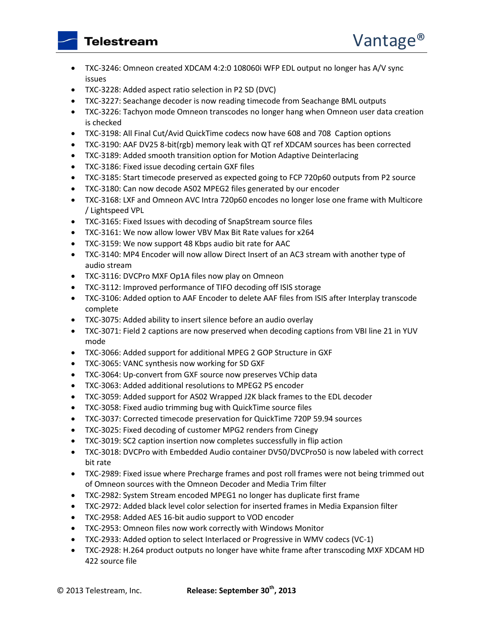- TXC-3246: Omneon created XDCAM 4:2:0 108060i WFP EDL output no longer has A/V sync issues
- TXC-3228: Added aspect ratio selection in P2 SD (DVC)
- TXC-3227: Seachange decoder is now reading timecode from Seachange BML outputs
- TXC-3226: Tachyon mode Omneon transcodes no longer hang when Omneon user data creation is checked
- TXC-3198: All Final Cut/Avid QuickTime codecs now have 608 and 708 Caption options
- TXC-3190: AAF DV25 8-bit(rgb) memory leak with QT ref XDCAM sources has been corrected
- TXC-3189: Added smooth transition option for Motion Adaptive Deinterlacing
- TXC-3186: Fixed issue decoding certain GXF files
- TXC-3185: Start timecode preserved as expected going to FCP 720p60 outputs from P2 source
- TXC-3180: Can now decode AS02 MPEG2 files generated by our encoder
- TXC-3168: LXF and Omneon AVC Intra 720p60 encodes no longer lose one frame with Multicore / Lightspeed VPL
- TXC-3165: Fixed Issues with decoding of SnapStream source files
- TXC-3161: We now allow lower VBV Max Bit Rate values for x264
- TXC-3159: We now support 48 Kbps audio bit rate for AAC
- TXC-3140: MP4 Encoder will now allow Direct Insert of an AC3 stream with another type of audio stream
- TXC-3116: DVCPro MXF Op1A files now play on Omneon
- TXC-3112: Improved performance of TIFO decoding off ISIS storage
- TXC-3106: Added option to AAF Encoder to delete AAF files from ISIS after Interplay transcode complete
- TXC-3075: Added ability to insert silence before an audio overlay
- TXC-3071: Field 2 captions are now preserved when decoding captions from VBI line 21 in YUV mode
- TXC-3066: Added support for additional MPEG 2 GOP Structure in GXF
- TXC-3065: VANC synthesis now working for SD GXF
- TXC-3064: Up-convert from GXF source now preserves VChip data
- TXC-3063: Added additional resolutions to MPEG2 PS encoder
- TXC-3059: Added support for AS02 Wrapped J2K black frames to the EDL decoder
- TXC-3058: Fixed audio trimming bug with QuickTime source files
- TXC-3037: Corrected timecode preservation for QuickTime 720P 59.94 sources
- TXC-3025: Fixed decoding of customer MPG2 renders from Cinegy
- TXC-3019: SC2 caption insertion now completes successfully in flip action
- TXC-3018: DVCPro with Embedded Audio container DV50/DVCPro50 is now labeled with correct bit rate
- TXC-2989: Fixed issue where Precharge frames and post roll frames were not being trimmed out of Omneon sources with the Omneon Decoder and Media Trim filter
- TXC-2982: System Stream encoded MPEG1 no longer has duplicate first frame
- TXC-2972: Added black level color selection for inserted frames in Media Expansion filter
- TXC-2958: Added AES 16-bit audio support to VOD encoder
- TXC-2953: Omneon files now work correctly with Windows Monitor
- TXC-2933: Added option to select Interlaced or Progressive in WMV codecs (VC-1)
- TXC-2928: H.264 product outputs no longer have white frame after transcoding MXF XDCAM HD 422 source file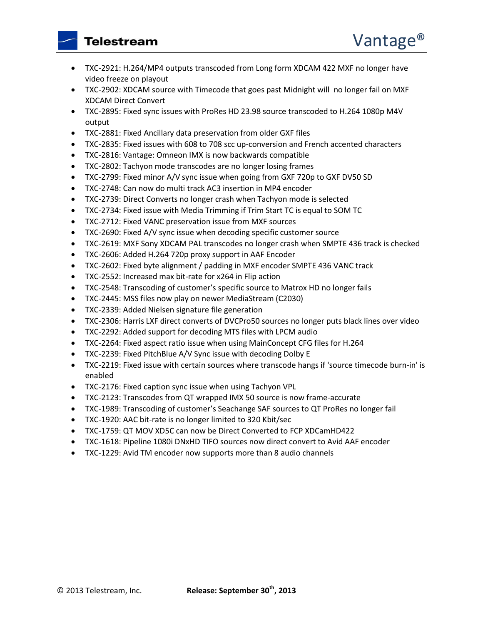- TXC-2921: H.264/MP4 outputs transcoded from Long form XDCAM 422 MXF no longer have video freeze on playout
- TXC-2902: XDCAM source with Timecode that goes past Midnight will no longer fail on MXF XDCAM Direct Convert
- TXC-2895: Fixed sync issues with ProRes HD 23.98 source transcoded to H.264 1080p M4V output
- TXC-2881: Fixed Ancillary data preservation from older GXF files
- TXC-2835: Fixed issues with 608 to 708 scc up-conversion and French accented characters
- TXC-2816: Vantage: Omneon IMX is now backwards compatible
- TXC-2802: Tachyon mode transcodes are no longer losing frames
- TXC-2799: Fixed minor A/V sync issue when going from GXF 720p to GXF DV50 SD
- TXC-2748: Can now do multi track AC3 insertion in MP4 encoder
- TXC-2739: Direct Converts no longer crash when Tachyon mode is selected
- TXC-2734: Fixed issue with Media Trimming if Trim Start TC is equal to SOM TC
- TXC-2712: Fixed VANC preservation issue from MXF sources
- TXC-2690: Fixed A/V sync issue when decoding specific customer source
- TXC-2619: MXF Sony XDCAM PAL transcodes no longer crash when SMPTE 436 track is checked
- TXC-2606: Added H.264 720p proxy support in AAF Encoder
- TXC-2602: Fixed byte alignment / padding in MXF encoder SMPTE 436 VANC track
- TXC-2552: Increased max bit-rate for x264 in Flip action
- TXC-2548: Transcoding of customer's specific source to Matrox HD no longer fails
- TXC-2445: MSS files now play on newer MediaStream (C2030)
- TXC-2339: Added Nielsen signature file generation
- TXC-2306: Harris LXF direct converts of DVCPro50 sources no longer puts black lines over video
- TXC-2292: Added support for decoding MTS files with LPCM audio
- TXC-2264: Fixed aspect ratio issue when using MainConcept CFG files for H.264
- TXC-2239: Fixed PitchBlue A/V Sync issue with decoding Dolby E
- TXC-2219: Fixed issue with certain sources where transcode hangs if 'source timecode burn-in' is enabled
- TXC-2176: Fixed caption sync issue when using Tachyon VPL
- TXC-2123: Transcodes from QT wrapped IMX 50 source is now frame-accurate
- TXC-1989: Transcoding of customer's Seachange SAF sources to QT ProRes no longer fail
- TXC-1920: AAC bit-rate is no longer limited to 320 Kbit/sec
- TXC-1759: QT MOV XD5C can now be Direct Converted to FCP XDCamHD422
- TXC-1618: Pipeline 1080i DNxHD TIFO sources now direct convert to Avid AAF encoder
- TXC-1229: Avid TM encoder now supports more than 8 audio channels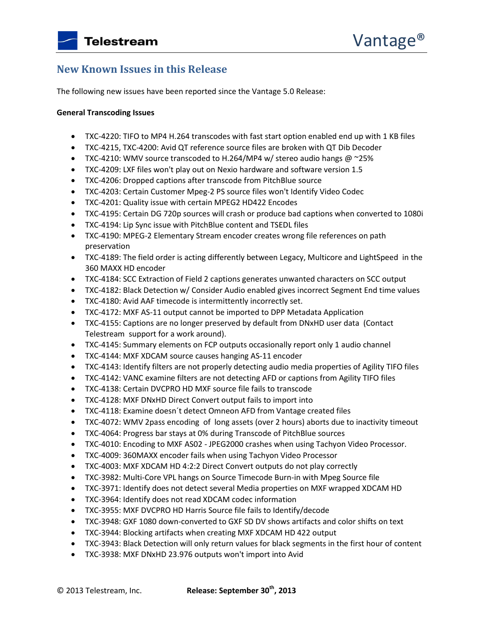# **New Known Issues in this Release**

The following new issues have been reported since the Vantage 5.0 Release:

### **General Transcoding Issues**

- TXC-4220: TIFO to MP4 H.264 transcodes with fast start option enabled end up with 1 KB files
- TXC-4215, TXC-4200: Avid QT reference source files are broken with QT Dib Decoder
- TXC-4210: WMV source transcoded to H.264/MP4 w/ stereo audio hangs  $@$  ~25%
- TXC-4209: LXF files won't play out on Nexio hardware and software version 1.5
- TXC-4206: Dropped captions after transcode from PitchBlue source
- TXC-4203: Certain Customer Mpeg-2 PS source files won't Identify Video Codec
- TXC-4201: Quality issue with certain MPEG2 HD422 Encodes
- TXC-4195: Certain DG 720p sources will crash or produce bad captions when converted to 1080i
- TXC-4194: Lip Sync issue with PitchBlue content and TSEDL files
- TXC-4190: MPEG-2 Elementary Stream encoder creates wrong file references on path preservation
- TXC-4189: The field order is acting differently between Legacy, Multicore and LightSpeed in the 360 MAXX HD encoder
- TXC-4184: SCC Extraction of Field 2 captions generates unwanted characters on SCC output
- TXC-4182: Black Detection w/ Consider Audio enabled gives incorrect Segment End time values
- TXC-4180: Avid AAF timecode is intermittently incorrectly set.
- TXC-4172: MXF AS-11 output cannot be imported to DPP Metadata Application
- TXC-4155: Captions are no longer preserved by default from DNxHD user data (Contact Telestream support for a work around).
- TXC-4145: Summary elements on FCP outputs occasionally report only 1 audio channel
- TXC-4144: MXF XDCAM source causes hanging AS-11 encoder
- TXC-4143: Identify filters are not properly detecting audio media properties of Agility TIFO files
- TXC-4142: VANC examine filters are not detecting AFD or captions from Agility TIFO files
- TXC-4138: Certain DVCPRO HD MXF source file fails to transcode
- TXC-4128: MXF DNxHD Direct Convert output fails to import into
- TXC-4118: Examine doesn´t detect Omneon AFD from Vantage created files
- TXC-4072: WMV 2pass encoding of long assets (over 2 hours) aborts due to inactivity timeout
- TXC-4064: Progress bar stays at 0% during Transcode of PitchBlue sources
- TXC-4010: Encoding to MXF AS02 JPEG2000 crashes when using Tachyon Video Processor.
- TXC-4009: 360MAXX encoder fails when using Tachyon Video Processor
- TXC-4003: MXF XDCAM HD 4:2:2 Direct Convert outputs do not play correctly
- TXC-3982: Multi-Core VPL hangs on Source Timecode Burn-in with Mpeg Source file
- TXC-3971: Identify does not detect several Media properties on MXF wrapped XDCAM HD
- TXC-3964: Identify does not read XDCAM codec information
- TXC-3955: MXF DVCPRO HD Harris Source file fails to Identify/decode
- TXC-3948: GXF 1080 down-converted to GXF SD DV shows artifacts and color shifts on text
- TXC-3944: Blocking artifacts when creating MXF XDCAM HD 422 output
- TXC-3943: Black Detection will only return values for black segments in the first hour of content
- TXC-3938: MXF DNxHD 23.976 outputs won't import into Avid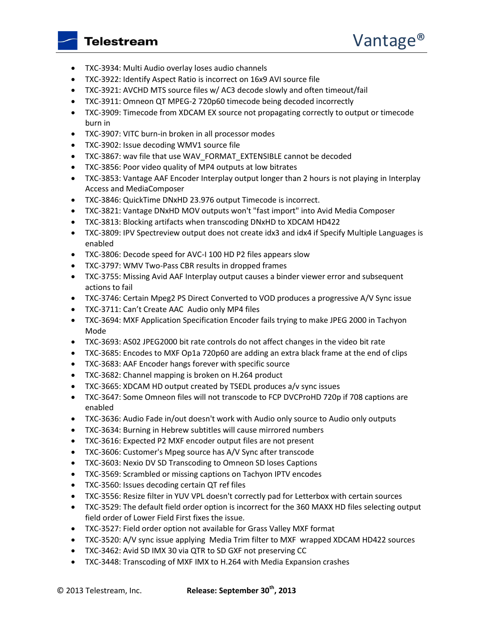- TXC-3934: Multi Audio overlay loses audio channels
- TXC-3922: Identify Aspect Ratio is incorrect on 16x9 AVI source file
- TXC-3921: AVCHD MTS source files w/ AC3 decode slowly and often timeout/fail
- TXC-3911: Omneon QT MPEG-2 720p60 timecode being decoded incorrectly
- TXC-3909: Timecode from XDCAM EX source not propagating correctly to output or timecode burn in
- TXC-3907: VITC burn-in broken in all processor modes
- TXC-3902: Issue decoding WMV1 source file
- TXC-3867: wav file that use WAV\_FORMAT\_EXTENSIBLE cannot be decoded
- TXC-3856: Poor video quality of MP4 outputs at low bitrates
- TXC-3853: Vantage AAF Encoder Interplay output longer than 2 hours is not playing in Interplay Access and MediaComposer
- TXC-3846: QuickTime DNxHD 23.976 output Timecode is incorrect.
- TXC-3821: Vantage DNxHD MOV outputs won't "fast import" into Avid Media Composer
- TXC-3813: Blocking artifacts when transcoding DNxHD to XDCAM HD422
- TXC-3809: IPV Spectreview output does not create idx3 and idx4 if Specify Multiple Languages is enabled
- TXC-3806: Decode speed for AVC-I 100 HD P2 files appears slow
- TXC-3797: WMV Two-Pass CBR results in dropped frames
- TXC-3755: Missing Avid AAF Interplay output causes a binder viewer error and subsequent actions to fail
- TXC-3746: Certain Mpeg2 PS Direct Converted to VOD produces a progressive A/V Sync issue
- TXC-3711: Can't Create AAC Audio only MP4 files
- TXC-3694: MXF Application Specification Encoder fails trying to make JPEG 2000 in Tachyon Mode
- TXC-3693: AS02 JPEG2000 bit rate controls do not affect changes in the video bit rate
- TXC-3685: Encodes to MXF Op1a 720p60 are adding an extra black frame at the end of clips
- TXC-3683: AAF Encoder hangs forever with specific source
- TXC-3682: Channel mapping is broken on H.264 product
- TXC-3665: XDCAM HD output created by TSEDL produces a/v sync issues
- TXC-3647: Some Omneon files will not transcode to FCP DVCProHD 720p if 708 captions are enabled
- TXC-3636: Audio Fade in/out doesn't work with Audio only source to Audio only outputs
- TXC-3634: Burning in Hebrew subtitles will cause mirrored numbers
- TXC-3616: Expected P2 MXF encoder output files are not present
- TXC-3606: Customer's Mpeg source has A/V Sync after transcode
- TXC-3603: Nexio DV SD Transcoding to Omneon SD loses Captions
- TXC-3569: Scrambled or missing captions on Tachyon IPTV encodes
- TXC-3560: Issues decoding certain QT ref files
- TXC-3556: Resize filter in YUV VPL doesn't correctly pad for Letterbox with certain sources
- TXC-3529: The default field order option is incorrect for the 360 MAXX HD files selecting output field order of Lower Field First fixes the issue.
- TXC-3527: Field order option not available for Grass Valley MXF format
- TXC-3520: A/V sync issue applying Media Trim filter to MXF wrapped XDCAM HD422 sources
- TXC-3462: Avid SD IMX 30 via QTR to SD GXF not preserving CC
- TXC-3448: Transcoding of MXF IMX to H.264 with Media Expansion crashes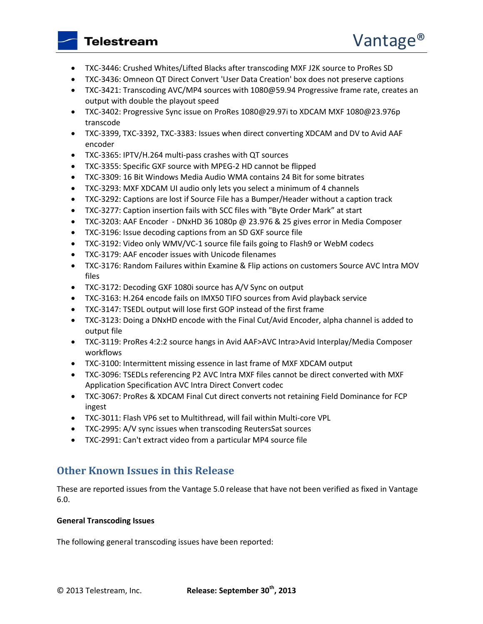- TXC-3446: Crushed Whites/Lifted Blacks after transcoding MXF J2K source to ProRes SD
- TXC-3436: Omneon QT Direct Convert 'User Data Creation' box does not preserve captions
- TXC-3421: Transcoding AVC/MP4 sources with 1080@59.94 Progressive frame rate, creates an output with double the playout speed
- TXC-3402: Progressive Sync issue on ProRes 1080@29.97i to XDCAM MXF 1080@23.976p transcode
- TXC-3399, TXC-3392, TXC-3383: Issues when direct converting XDCAM and DV to Avid AAF encoder
- TXC-3365: IPTV/H.264 multi-pass crashes with QT sources
- TXC-3355: Specific GXF source with MPEG-2 HD cannot be flipped
- TXC-3309: 16 Bit Windows Media Audio WMA contains 24 Bit for some bitrates
- TXC-3293: MXF XDCAM UI audio only lets you select a minimum of 4 channels
- TXC-3292: Captions are lost if Source File has a Bumper/Header without a caption track
- TXC-3277: Caption insertion fails with SCC files with "Byte Order Mark" at start
- TXC-3203: AAF Encoder DNxHD 36 1080p @ 23.976 & 25 gives error in Media Composer
- TXC-3196: Issue decoding captions from an SD GXF source file
- TXC-3192: Video only WMV/VC-1 source file fails going to Flash9 or WebM codecs
- TXC-3179: AAF encoder issues with Unicode filenames
- TXC-3176: Random Failures within Examine & Flip actions on customers Source AVC Intra MOV files
- TXC-3172: Decoding GXF 1080i source has A/V Sync on output
- TXC-3163: H.264 encode fails on IMX50 TIFO sources from Avid playback service
- TXC-3147: TSEDL output will lose first GOP instead of the first frame
- TXC-3123: Doing a DNxHD encode with the Final Cut/Avid Encoder, alpha channel is added to output file
- TXC-3119: ProRes 4:2:2 source hangs in Avid AAF>AVC Intra>Avid Interplay/Media Composer workflows
- TXC-3100: Intermittent missing essence in last frame of MXF XDCAM output
- TXC-3096: TSEDLs referencing P2 AVC Intra MXF files cannot be direct converted with MXF Application Specification AVC Intra Direct Convert codec
- TXC-3067: ProRes & XDCAM Final Cut direct converts not retaining Field Dominance for FCP ingest
- TXC-3011: Flash VP6 set to Multithread, will fail within Multi-core VPL
- TXC-2995: A/V sync issues when transcoding ReutersSat sources
- TXC-2991: Can't extract video from a particular MP4 source file

# **Other Known Issues in this Release**

These are reported issues from the Vantage 5.0 release that have not been verified as fixed in Vantage 6.0.

### **General Transcoding Issues**

The following general transcoding issues have been reported: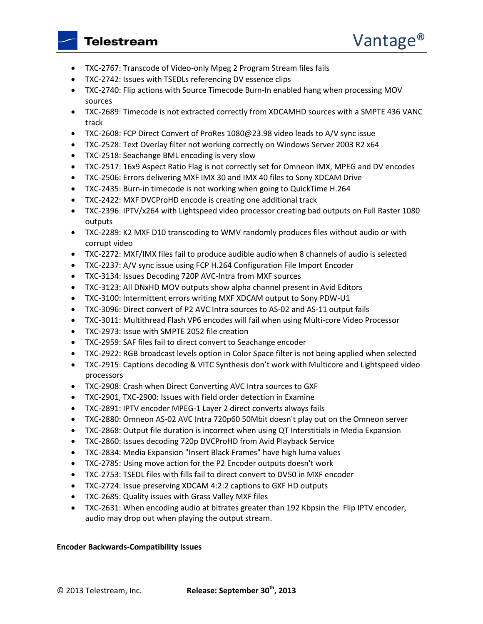- TXC-2767: Transcode of Video-only Mpeg 2 Program Stream files fails
- TXC-2742: Issues with TSEDLs referencing DV essence clips
- TXC-2740: Flip actions with Source Timecode Burn-In enabled hang when processing MOV sources
- TXC-2689: Timecode is not extracted correctly from XDCAMHD sources with a SMPTE 436 VANC track
- TXC-2608: FCP Direct Convert of ProRes 1080@23.98 video leads to A/V sync issue
- TXC-2528: Text Overlay filter not working correctly on Windows Server 2003 R2 x64
- TXC-2518: Seachange BML encoding is very slow
- TXC-2517: 16x9 Aspect Ratio Flag is not correctly set for Omneon IMX, MPEG and DV encodes
- TXC-2506: Errors delivering MXF IMX 30 and IMX 40 files to Sony XDCAM Drive
- TXC-2435: Burn-in timecode is not working when going to QuickTime H.264
- TXC-2422: MXF DVCProHD encode is creating one additional track
- TXC-2396: IPTV/x264 with Lightspeed video processor creating bad outputs on Full Raster 1080 outputs
- TXC-2289: K2 MXF D10 transcoding to WMV randomly produces files without audio or with corrupt video
- TXC-2272: MXF/IMX files fail to produce audible audio when 8 channels of audio is selected
- TXC-2237: A/V sync issue using FCP H.264 Configuration File Import Encoder
- TXC-3134: Issues Decoding 720P AVC-Intra from MXF sources
- TXC-3123: All DNxHD MOV outputs show alpha channel present in Avid Editors
- TXC-3100: Intermittent errors writing MXF XDCAM output to Sony PDW-U1
- TXC-3096: Direct convert of P2 AVC Intra sources to AS-02 and AS-11 output fails
- TXC-3011: Multithread Flash VP6 encodes will fail when using Multi-core Video Processor
- TXC-2973: Issue with SMPTE 2052 file creation
- TXC-2959: SAF files fail to direct convert to Seachange encoder
- TXC-2922: RGB broadcast levels option in Color Space filter is not being applied when selected
- TXC-2915: Captions decoding & VITC Synthesis don't work with Multicore and Lightspeed video processors
- TXC-2908: Crash when Direct Converting AVC Intra sources to GXF
- TXC-2901, TXC-2900: Issues with field order detection in Examine
- TXC-2891: IPTV encoder MPEG-1 Layer 2 direct converts always fails
- TXC-2880: Omneon AS-02 AVC Intra 720p60 50Mbit doesn't play out on the Omneon server
- TXC-2868: Output file duration is incorrect when using QT Interstitials in Media Expansion
- TXC-2860: Issues decoding 720p DVCProHD from Avid Playback Service
- TXC-2834: Media Expansion "Insert Black Frames" have high luma values
- TXC-2785: Using move action for the P2 Encoder outputs doesn't work
- TXC-2753: TSEDL files with fills fail to direct convert to DV50 in MXF encoder
- TXC-2724: Issue preserving XDCAM 4:2:2 captions to GXF HD outputs
- TXC-2685: Quality issues with Grass Valley MXF files
- TXC-2631: When encoding audio at bitrates greater than 192 Kbpsin the Flip IPTV encoder, audio may drop out when playing the output stream.

### **Encoder Backwards-Compatibility Issues**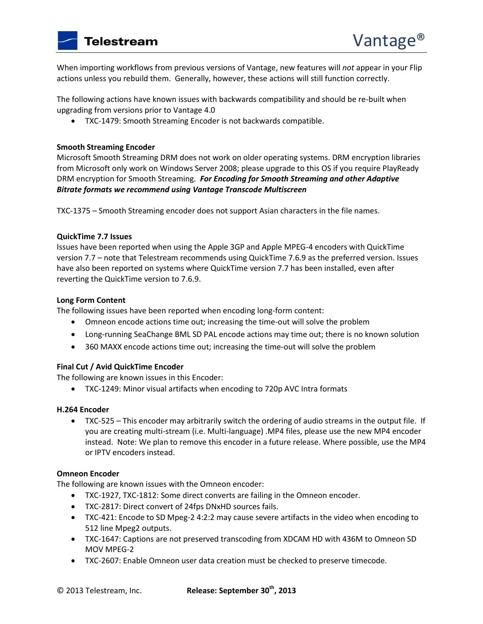When importing workflows from previous versions of Vantage, new features will *not* appear in your Flip actions unless you rebuild them. Generally, however, these actions will still function correctly.

The following actions have known issues with backwards compatibility and should be re-built when upgrading from versions prior to Vantage 4.0

TXC-1479: Smooth Streaming Encoder is not backwards compatible.

### **Smooth Streaming Encoder**

Microsoft Smooth Streaming DRM does not work on older operating systems. DRM encryption libraries from Microsoft only work on Windows Server 2008; please upgrade to this OS if you require PlayReady DRM encryption for Smooth Streaming*. For Encoding for Smooth Streaming and other Adaptive Bitrate formats we recommend using Vantage Transcode Multiscreen*

TXC-1375 – Smooth Streaming encoder does not support Asian characters in the file names.

### **QuickTime 7.7 Issues**

Issues have been reported when using the Apple 3GP and Apple MPEG-4 encoders with QuickTime version 7.7 – note that Telestream recommends using QuickTime 7.6.9 as the preferred version. Issues have also been reported on systems where QuickTime version 7.7 has been installed, even after reverting the QuickTime version to 7.6.9.

### **Long Form Content**

The following issues have been reported when encoding long-form content:

- Omneon encode actions time out; increasing the time-out will solve the problem
- Long-running SeaChange BML SD PAL encode actions may time out; there is no known solution
- 360 MAXX encode actions time out; increasing the time-out will solve the problem

### **Final Cut / Avid QuickTime Encoder**

The following are known issues in this Encoder:

TXC-1249: Minor visual artifacts when encoding to 720p AVC Intra formats

### **H.264 Encoder**

 TXC-525 – This encoder may arbitrarily switch the ordering of audio streams in the output file. If you are creating multi-stream (i.e. Multi-language) .MP4 files, please use the new MP4 encoder instead. Note: We plan to remove this encoder in a future release. Where possible, use the MP4 or IPTV encoders instead.

### **Omneon Encoder**

The following are known issues with the Omneon encoder:

- TXC-1927, TXC-1812: Some direct converts are failing in the Omneon encoder.
- TXC-2817: Direct convert of 24fps DNxHD sources fails.
- TXC-421: Encode to SD Mpeg-2 4:2:2 may cause severe artifacts in the video when encoding to 512 line Mpeg2 outputs.
- TXC-1647: Captions are not preserved transcoding from XDCAM HD with 436M to Omneon SD MOV MPEG-2
- TXC-2607: Enable Omneon user data creation must be checked to preserve timecode.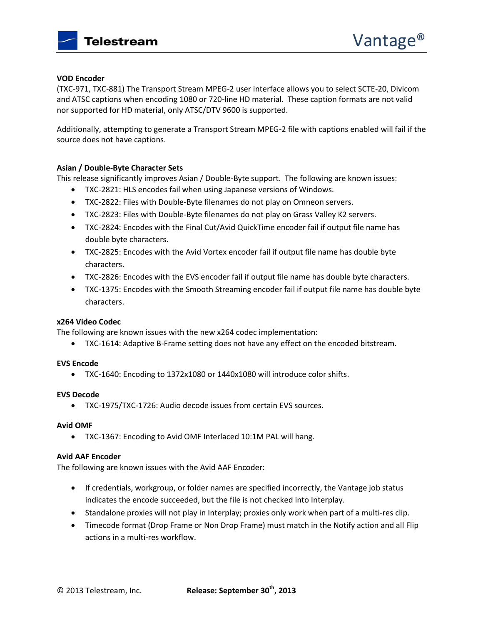

### **VOD Encoder**

(TXC-971, TXC-881) The Transport Stream MPEG-2 user interface allows you to select SCTE-20, Divicom and ATSC captions when encoding 1080 or 720-line HD material. These caption formats are not valid nor supported for HD material, only ATSC/DTV 9600 is supported.

Additionally, attempting to generate a Transport Stream MPEG-2 file with captions enabled will fail if the source does not have captions.

### **Asian / Double-Byte Character Sets**

This release significantly improves Asian / Double-Byte support. The following are known issues:

- TXC-2821: HLS encodes fail when using Japanese versions of Windows.
- TXC-2822: Files with Double-Byte filenames do not play on Omneon servers.
- TXC-2823: Files with Double-Byte filenames do not play on Grass Valley K2 servers.
- TXC-2824: Encodes with the Final Cut/Avid QuickTime encoder fail if output file name has double byte characters.
- TXC-2825: Encodes with the Avid Vortex encoder fail if output file name has double byte characters.
- TXC-2826: Encodes with the EVS encoder fail if output file name has double byte characters.
- TXC-1375: Encodes with the Smooth Streaming encoder fail if output file name has double byte characters.

### **x264 Video Codec**

The following are known issues with the new x264 codec implementation:

TXC-1614: Adaptive B-Frame setting does not have any effect on the encoded bitstream.

### **EVS Encode**

TXC-1640: Encoding to 1372x1080 or 1440x1080 will introduce color shifts.

### **EVS Decode**

TXC-1975/TXC-1726: Audio decode issues from certain EVS sources.

### **Avid OMF**

TXC-1367: Encoding to Avid OMF Interlaced 10:1M PAL will hang.

### **Avid AAF Encoder**

The following are known issues with the Avid AAF Encoder:

- If credentials, workgroup, or folder names are specified incorrectly, the Vantage job status indicates the encode succeeded, but the file is not checked into Interplay.
- Standalone proxies will not play in Interplay; proxies only work when part of a multi-res clip.
- Timecode format (Drop Frame or Non Drop Frame) must match in the Notify action and all Flip actions in a multi-res workflow.